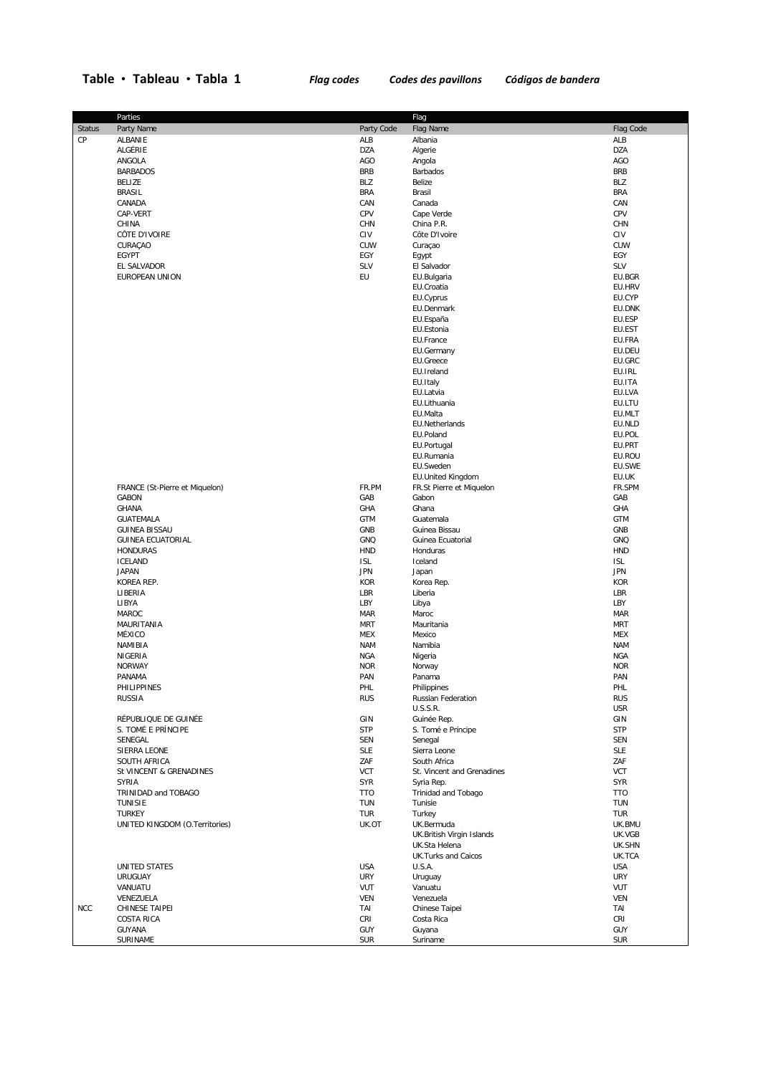## **Table Tableau Tabla 1** *Flag codes Codes des pavillons Códigos de bandera*

|               | Parties                        |            | Flag                       |            |
|---------------|--------------------------------|------------|----------------------------|------------|
| <b>Status</b> | Party Name                     | Party Code | Flag Name                  | Flag Code  |
| CP            | ALBANIE                        | ALB        | Albania                    | ALB        |
|               | ALGÉRIE                        | <b>DZA</b> | Algerie                    | <b>DZA</b> |
|               |                                |            |                            |            |
|               | ANGOLA                         | AGO        | Angola                     | AGO        |
|               | <b>BARBADOS</b>                | <b>BRB</b> | Barbados                   | <b>BRB</b> |
|               | <b>BELIZE</b>                  | BLZ        | Belize                     | BLZ        |
|               | <b>BRASIL</b>                  | <b>BRA</b> | Brasil                     | <b>BRA</b> |
|               | CANADA                         | CAN        | Canada                     | CAN        |
|               | CAP-VERT                       | CPV        | Cape Verde                 | CPV        |
|               | CHINA                          | CHN        | China P.R.                 | <b>CHN</b> |
|               | CÔTE D'IVOIRE                  | CIV        | Côte D'Ivoire              | CIV        |
|               |                                | CUW        |                            |            |
|               | CURAÇAO                        |            | Curaçao                    | <b>CUW</b> |
|               | EGYPT                          | EGY        | Egypt                      | EGY        |
|               | EL SALVADOR                    | SLV        | El Salvador                | <b>SLV</b> |
|               | EUROPEAN UNION                 | EU         | EU.Bulgaria                | EU.BGR     |
|               |                                |            | EU.Croatia                 | EU.HRV     |
|               |                                |            | EU.Cyprus                  | EU.CYP     |
|               |                                |            | EU.Denmark                 | EU.DNK     |
|               |                                |            | EU.España                  | EU.ESP     |
|               |                                |            | EU.Estonia                 | EU.EST     |
|               |                                |            |                            |            |
|               |                                |            | EU.France                  | EU.FRA     |
|               |                                |            | EU.Germany                 | EU.DEU     |
|               |                                |            | EU.Greece                  | EU.GRC     |
|               |                                |            | EU.Ireland                 | EU.IRL     |
|               |                                |            | EU.Italy                   | EU.ITA     |
|               |                                |            | EU.Latvia                  | EU.LVA     |
|               |                                |            | EU.Lithuania               | EU.LTU     |
|               |                                |            | EU.Malta                   | EU.MLT     |
|               |                                |            | EU.Netherlands             |            |
|               |                                |            |                            | EU.NLD     |
|               |                                |            | EU.Poland                  | EU.POL     |
|               |                                |            | EU.Portugal                | EU.PRT     |
|               |                                |            | EU.Rumania                 | EU.ROU     |
|               |                                |            | EU.Sweden                  | EU.SWE     |
|               |                                |            | EU.United Kingdom          | EU.UK      |
|               | FRANCE (St-Pierre et Miquelon) | FR.PM      | FR.St Pierre et Miquelon   | FR.SPM     |
|               | <b>GABON</b>                   | GAB        | Gabon                      | GAB        |
|               | <b>GHANA</b>                   | GHA        | Ghana                      | GHA        |
|               |                                |            |                            |            |
|               | GUATEMALA                      | <b>GTM</b> | Guatemala                  | <b>GTM</b> |
|               | <b>GUINEA BISSAU</b>           | GNB        | Guinea Bissau              | GNB        |
|               | <b>GUINEA ECUATORIAL</b>       | GNQ        | Guinea Ecuatorial          | <b>GNQ</b> |
|               | <b>HONDURAS</b>                | <b>HND</b> | Honduras                   | <b>HND</b> |
|               | <b>ICELAND</b>                 | <b>ISL</b> | Iceland                    | <b>ISL</b> |
|               | <b>JAPAN</b>                   | <b>JPN</b> | Japan                      | <b>JPN</b> |
|               | KOREA REP.                     | <b>KOR</b> | Korea Rep.                 | <b>KOR</b> |
|               | LIBERIA                        | LBR        | Liberia                    | LBR        |
|               |                                | LBY        |                            |            |
|               | LIBYA                          |            | Libya                      | LBY        |
|               | MAROC                          | <b>MAR</b> | Maroc                      | <b>MAR</b> |
|               | MAURITANIA                     | <b>MRT</b> | Mauritania                 | <b>MRT</b> |
|               | MÉXICO                         | <b>MEX</b> | Mexico                     | <b>MEX</b> |
|               | NAMIBIA                        | <b>NAM</b> | Namibia                    | <b>NAM</b> |
|               | NIGERIA                        | <b>NGA</b> | Nigeria                    | <b>NGA</b> |
|               | <b>NORWAY</b>                  | <b>NOR</b> | Norway                     | <b>NOR</b> |
|               | <b>PANAMA</b>                  | PAN        | Panama                     | PAN        |
|               | PHILIPPINES                    | PHL        | Philippines                | PHL        |
|               | <b>RUSSIA</b>                  | <b>RUS</b> |                            | <b>RUS</b> |
|               |                                |            | Russian Federation         |            |
|               |                                |            | U.S.S.R.                   | <b>USR</b> |
|               | RÉPUBLIQUE DE GUINÉE           | GIN        | Guinée Rep.                | GIN        |
|               | S. TOMÉ E PRÍNCIPE             | <b>STP</b> | S. Tomé e Príncipe         | <b>STP</b> |
|               | SENEGAL                        | <b>SEN</b> | Senegal                    | <b>SEN</b> |
|               | SIERRA LEONE                   | <b>SLE</b> | Sierra Leone               | <b>SLE</b> |
|               | SOUTH AFRICA                   | ZAF        | South Africa               | ZAF        |
|               | St VINCENT & GRENADINES        | <b>VCT</b> | St. Vincent and Grenadines | <b>VCT</b> |
|               | <b>SYRIA</b>                   | SYR        | Syria Rep.                 | <b>SYR</b> |
|               | TRINIDAD and TOBAGO            | <b>TTO</b> | Trinidad and Tobago        | <b>TTO</b> |
|               | TUNISIE                        | <b>TUN</b> | Tunisie                    | <b>TUN</b> |
|               |                                |            |                            |            |
|               | <b>TURKEY</b>                  | <b>TUR</b> | Turkey                     | <b>TUR</b> |
|               | UNITED KINGDOM (O.Territories) | UK.OT      | UK.Bermuda                 | UK.BMU     |
|               |                                |            | UK.British Virgin Islands  | UK.VGB     |
|               |                                |            | UK.Sta Helena              | UK.SHN     |
|               |                                |            | UK.Turks and Caicos        | UK.TCA     |
|               | UNITED STATES                  | <b>USA</b> | U.S.A.                     | <b>USA</b> |
|               | <b>URUGUAY</b>                 | <b>URY</b> | Uruguay                    | <b>URY</b> |
|               | VANUATU                        | <b>VUT</b> | Vanuatu                    | VUT        |
|               | VENEZUELA                      | <b>VEN</b> | Venezuela                  | <b>VEN</b> |
|               |                                |            |                            |            |
| <b>NCC</b>    | CHINESE TAIPEI                 | TAI        | Chinese Taipei             | TAI        |
|               | <b>COSTA RICA</b>              | CRI        | Costa Rica                 | <b>CRI</b> |
|               | GUYANA                         | GUY        | Guyana                     | <b>GUY</b> |
|               | SURINAME                       | <b>SUR</b> | Suriname                   | <b>SUR</b> |